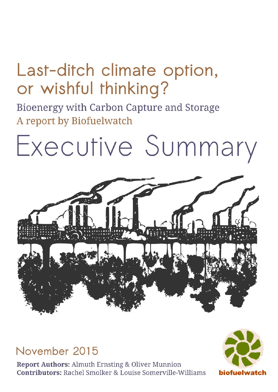## Last-ditch climate option, or wishful thinking?

Bioenergy with Carbon Capture and Storage A report by Biofuelwatch

## Executive Summary



November 2015

**Report Authors: Almuth Ernsting & Oliver Munnion Contributors: Rachel Smolker & Louise Somerville-Williams** 

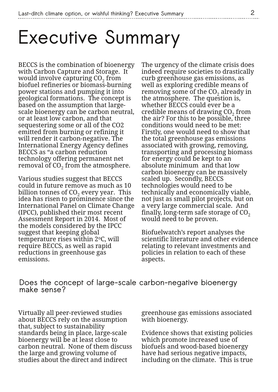## **Executive Summary**

BECCS is the combination of bioenergy with Carbon Capture and Storage. It would involve capturing  $\mathrm{CO}_2$  from biofuel refineries or biomass-burning power stations and pumping it into geological formations. The concept is based on the assumption that largescale bioenergy can be carbon neutral, or at least low carbon, and that sequestering some or all of the CO2 emitted from burning or refining it will render it carbon-negative. The International Energy Agency defines BECCS as "a carbon reduction technology offering permanent net removal of CO $_{\rm 2}$  from the atmosphere.

Various studies suggest that BECCS could in future remove as much as 10 billion tonnes of CO $_2$  every year. This idea has risen to prominence since the International Panel on Climate Change (IPCC), published their most recent Assessment Report in 2014. Most of the models considered by the IPCC suggest that keeping global temperature rises within 2 oC, will require BECCS, as well as rapid reductions in greenhouse gas emissions.

The urgency of the climate crisis does indeed require societies to drastically curb greenhouse gas emissions, as well as exploring credible means of removing some of the CO<sub>2</sub> already in the atmosphere. The question is, whether BECCS could ever be a credible means of drawing  $CO<sub>2</sub>$  from the air? For this to be possible, three conditions would need to be met: Firstly, one would need to show that the total greenhouse gas emissions associated with growing, removing, transporting and processing biomass for energy could be kept to an absolute minimum and that low carbon bioenergy can be massively scaled up. Secondly, BECCS technologies would need to be technically and economically viable, not just as small pilot projects, but on a very large commercial scale. And finally, long-term safe storage of  $CO<sub>2</sub>$ would need to be proven.

Biofuelwatch's report analyses the scientific literature and other evidence relating to relevant investments and policies in relation to each of these aspects.

**Does the concept of large-scale carbon-negative bioenergy make sense?**

Virtually all peer-reviewed studies about BECCS rely on the assumption that, subject to sustainability standards being in place, large-scale bioenergy will be at least close to carbon neutral. None of them discuss the large and growing volume of studies about the direct and indirect

greenhouse gas emissions associated with bioenergy.

Evidence shows that existing policies which promote increased use of biofuels and wood-based bioenergy have had serious negative impacts, including on the climate. This is true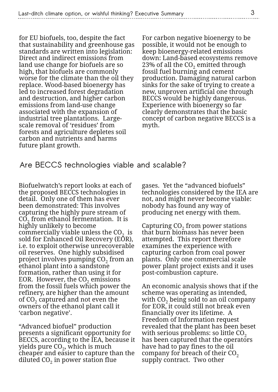for EU biofuels, too, despite the fact that sustainability and greenhouse gas standards are written into legislation: Direct and indirect emissions from land use change for biofuels are so high, that biofuels are commonly worse for the climate than the oil they replace. Wood-based bioenergy has led to increased forest degradation and destruction, and higher carbon emissions from land-use change associated with the expansion of industrial tree plantations. Largescale removal of 'residues' from forests and agriculture depletes soil carbon and nutrients and harms future plant growth.

For carbon negative bioenergy to be possible, it would not be enough to keep bioenergy-related emissions down: Land-based ecosystems remove 23% of all the  $\mathrm{CO}_2$  emitted through fossil fuel burning and cement production. Damaging natural carbon sinks for the sake of trying to create a new, unproven artificial one through BECCS would be highly dangerous. Experience with bioenergy so far clearly demonstrates that the basic concept of carbon negative BECCS is a myth.

**Are BECCS technologies viable and scalable?**

Biofuelwatch's report looks at each of the proposed BECCS technologies in detail. Only one of them has ever been demonstrated: This involves capturing the highly pure stream of  $\mathrm{CO}_2$  from ethanol fermentation. It is highly unlikely to become commercially viable unless the  $CO<sub>2</sub>$  is sold for Enhanced Oil Recovery (EOR), i.e. to exploit otherwise unrecoverable oil reserves. One highly subsidised project involves pumping CO $_2$  from an ethanol plant into a sandstone formation, rather than using it for EOR. However, the  $CO<sub>2</sub>$  emissions from the fossil fuels which power the refinery, are higher than the amount of CO $_2$  captured and not even the owners of the ethanol plant call it 'carbon negative'.

"Advanced biofuel" production presents a significant opportunity for BECCS, according to the IEA, because it yields pure CO $_{\rm 2}$ , which is much cheaper and easier to capture than the diluted CO $_{\rm 2}$  in power station flue

gases. Yet the "advanced biofuels" technologies considered by the IEA are not, and might never become viable: nobody has found any way of producing net energy with them.

Capturing  $\mathrm{CO}_2$  from power stations that burn biomass has never been attempted. This report therefore examines the experience with capturing carbon from coal power plants. Only one commercial scale power plant project exists and it uses post-combustion capture.

An economic analysis shows that if the scheme was operating as intended, with CO<sub>2</sub> being sold to an oil company for EOR, it could still not break even financially over its lifetime. A Freedom of Information request revealed that the plant has been beset with serious problems: so little  $CO<sub>2</sub>$ has been captured that the operators have had to pay fines to the oil company for breach of their  $CO<sub>2</sub>$ supply contract. Two other